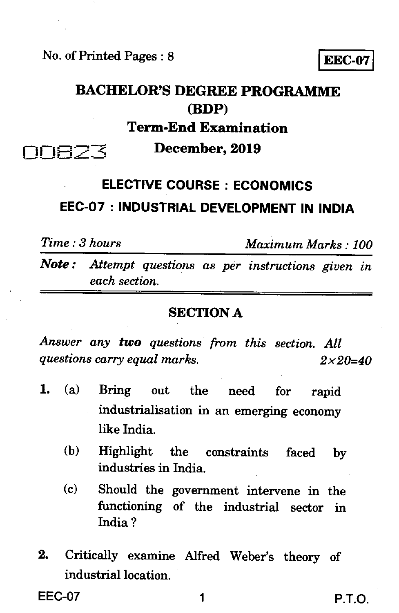No. of Printed Pages : 8 **EEC-07** 

# **BACHELOR'S DEGREE PROGRAMME (BDP) Term-End Examination 000-11-182 December, 2019**

## **ELECTIVE COURSE : ECONOMICS EEC-07 : INDUSTRIAL DEVELOPMENT IN INDIA**

*Time : 3 hours Maximum Marks : 100* 

*Note : Attempt questions as per instructions given in each section.* 

#### **SECTION A**

*Answer any two questions from this section. All questions carry equal marks. 2x20=40* 

- *1. (a)* Bring out the need for rapid industrialisation in an emerging economy like India.
	- (b) Highlight the constraints faced by industries in India.
	- (c) Should the government intervene in the functioning of the industrial sector in India ?
- **2.** Critically examine Alfred Weber's theory of industrial location.

EEC-07 **1** P.T.O.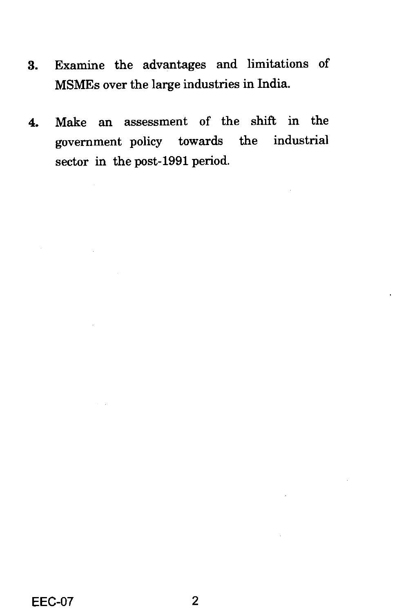- 3. Examine the advantages and limitations of MSMEs over the large industries in India.
- 4. Make an assessment of the shift in the government policy towards the industrial sector in the post-1991 period.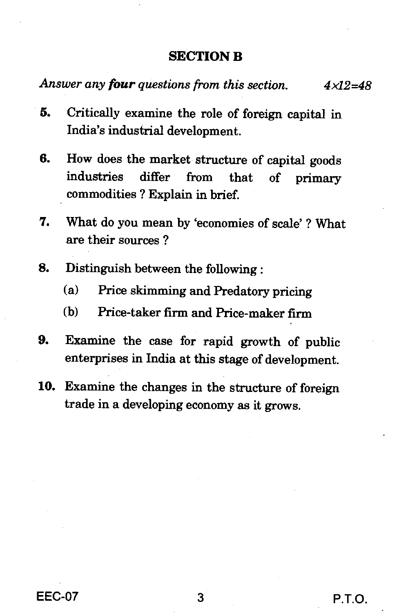### **SECTION B**

*Answer any four questions from this section. 4x12=48* 

- **5.** Critically examine the role of foreign capital in India's industrial development.
- **6.** How does the market structure of capital goods industries differ from that of primary commodities ? Explain in brief.
- **7.** What do you mean by 'economies of scale' ? What are their sources ?
- **8.** Distinguish between the following :
	- (a) Price skimming and Predatory pricing
	- (b) Price-taker firm and Price-maker firm
- **9.** Examine the case for rapid growth of public enterprises in India at this stage of development.
- **10.** Examine the changes in the structure of foreign trade in a developing economy as it grows.

EEC-07 3 P.T.O.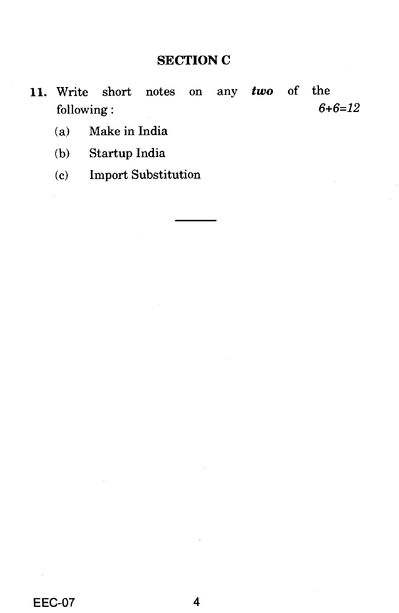### **SECTION C**

- 11. Write short notes on any *two* of the following : *6+6=12* 
	- (a) Make in India
	- (b) Startup India
	- (c) Import Substitution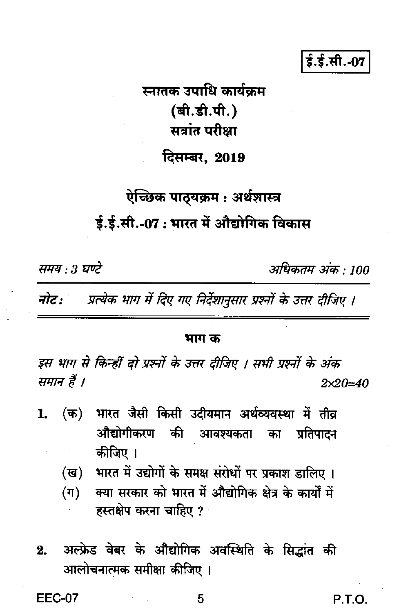$\overline{5.5}.$ सी.-07

स्नातक उपाधि कार्यकम (बी.डी.पी.) सत्रांत परीक्षा

**दिसम्बर. 2019** 

# ऐच्छिक पाठ्यक्रम : अर्थशास्त्र ई.ई.सी.-07 : भारत में औद्योगिक विकास

समय : २ घण्टे

अधिकतम् अंकः : 100

नोट: प्रत्येक भाग में दिए गए निर्देशानुसार प्रश्नों के उत्तर दीजिए ।

#### भाग क

इस भाग से किन्हीं दो प्रश्नों के उत्तर दीजिए । सभी प्रश्नों के अंक समान हैं ।  $2 \times 20 = 40$ 

- भारत जैसी किसी उदीयमान अर्थव्यवस्था में तीव्र 1. (क) औद्योगीकरण की आवश्यकता का प्रतिपादन कीजिए ।
	- भारत में उद्योगों के समक्ष संरोधों पर प्रकाश डालिए। (ख)
	- क्या सरकार को भारत में औद्योगिक क्षेत्र के कार्यों में  $(\Pi)$ हस्तक्षेप करना चाहिए ?
- अल्फ्रेड वेबर के औद्योगिक अवस्थिति के सिद्धांत की  $2.$ आलोचनात्मक समीक्षा कीजिए ।

**EEC-07** 

P.T.O.

5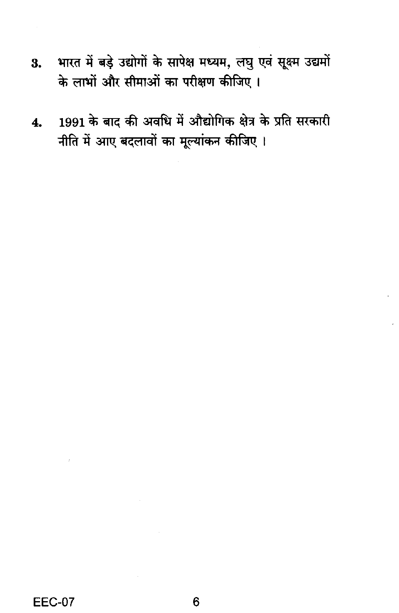- भारत में बड़े उद्योगों के सापेक्ष मध्यम, लघु एवं सूक्ष्म उद्यमों 3. के लाभों और सीमाओं का परीक्षण कीजिए।
- 1991 के बाद की अवधि में औद्योगिक क्षेत्र के प्रति सरकारी  $\mathbf{A}$ . नीति में आए बदलावों का मूल्यांकन कीजिए।

6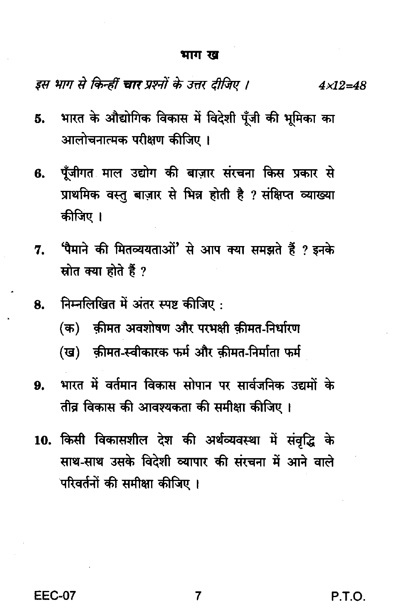#### भाग ख

डस भाग से किन्हीं चार प्रश्नों के उत्तर दीजिए ।  $4 \times 12 = 48$ 

- भारत के औद्योगिक विकास में विदेशी पूँजी की भूमिका का 5. आलोचनात्मक परीक्षण कीजिए ।
- पूँजीगत माल उद्योग की बाज़ार संरचना किस प्रकार से 6. प्राथमिक वस्तु बाज़ार से भिन्न होती है ? संक्षिप्त व्याख्या कीजिए ।
- 'पैमाने की मितव्ययताओं' से आप क्या समझते हैं ? इनके  $\overline{7}$ . स्रोत क्या होते हैं ?
- निम्नलिखित में अंतर स्पष्ट कीजिए: 8.
	- (क) कीमत अवशोषण और परभक्षी कीमत-निर्धारण
	- (ख) कीमत-स्वीकारक फर्म और कीमत-निर्माता फर्म
- भारत में वर्तमान विकास सोपान पर सार्वजनिक उद्यमों के 9. तीव्र विकास की आवश्यकता की समीक्षा कीजिए ।
- 10. किसी विकासशील देश की अर्थव्यवस्था में संवद्धि के साथ-साथ उसके विदेशी व्यापार की संरचना में आने वाले परिवर्तनों की समीक्षा कीजिए ।

**EEC-07** 

P.T.O.